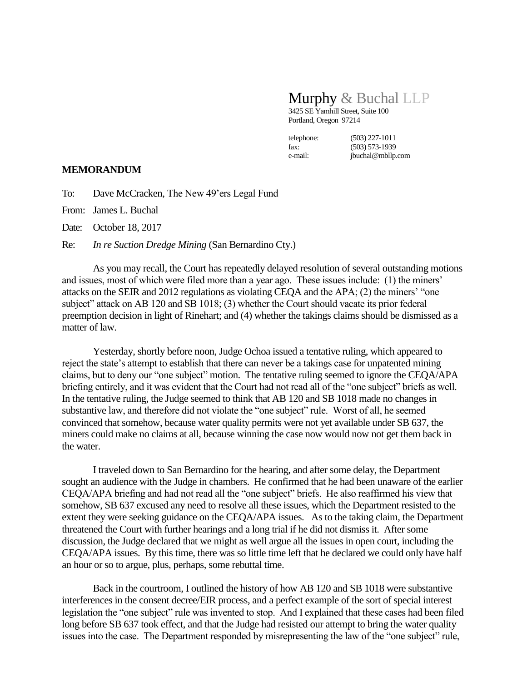## Murphy & Buchal LLP

3425 SE Yamhill Street, Suite 100 Portland, Oregon 97214

telephone: (503) 227-1011 fax: (503) 573-1939

e-mail: jbuchal@mbllp.com

## **MEMORANDUM**

To: Dave McCracken, The New 49'ers Legal Fund

From: James L. Buchal

Date: October 18, 2017

Re: *In re Suction Dredge Mining* (San Bernardino Cty.)

As you may recall, the Court has repeatedly delayed resolution of several outstanding motions and issues, most of which were filed more than a year ago. These issues include: (1) the miners' attacks on the SEIR and 2012 regulations as violating CEQA and the APA; (2) the miners' "one subject" attack on AB 120 and SB 1018; (3) whether the Court should vacate its prior federal preemption decision in light of Rinehart; and (4) whether the takings claims should be dismissed as a matter of law.

Yesterday, shortly before noon, Judge Ochoa issued a tentative ruling, which appeared to reject the state's attempt to establish that there can never be a takings case for unpatented mining claims, but to deny our "one subject" motion. The tentative ruling seemed to ignore the CEQA/APA briefing entirely, and it was evident that the Court had not read all of the "one subject" briefs as well. In the tentative ruling, the Judge seemed to think that AB 120 and SB 1018 made no changes in substantive law, and therefore did not violate the "one subject" rule. Worst of all, he seemed convinced that somehow, because water quality permits were not yet available under SB 637, the miners could make no claims at all, because winning the case now would now not get them back in the water.

I traveled down to San Bernardino for the hearing, and after some delay, the Department sought an audience with the Judge in chambers. He confirmed that he had been unaware of the earlier CEQA/APA briefing and had not read all the "one subject" briefs. He also reaffirmed his view that somehow, SB 637 excused any need to resolve all these issues, which the Department resisted to the extent they were seeking guidance on the CEQA/APA issues. As to the taking claim, the Department threatened the Court with further hearings and a long trial if he did not dismiss it. After some discussion, the Judge declared that we might as well argue all the issues in open court, including the CEQA/APA issues. By this time, there was so little time left that he declared we could only have half an hour or so to argue, plus, perhaps, some rebuttal time.

Back in the courtroom, I outlined the history of how AB 120 and SB 1018 were substantive interferences in the consent decree/EIR process, and a perfect example of the sort of special interest legislation the "one subject" rule was invented to stop. And I explained that these cases had been filed long before SB 637 took effect, and that the Judge had resisted our attempt to bring the water quality issues into the case. The Department responded by misrepresenting the law of the "one subject" rule,